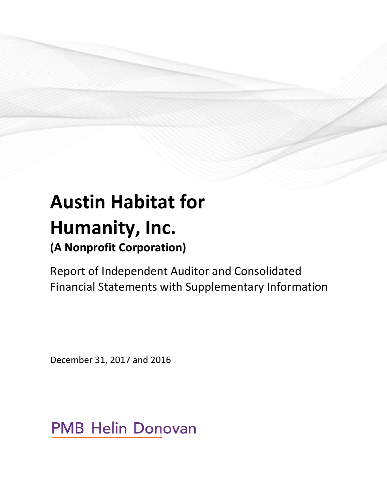# **Austin Habitat for Humanity, Inc. (A Nonprofit Corporation)**

Report of Independent Auditor and Consolidated Financial Statements with Supplementary Information

December 31, 2017 and 2016

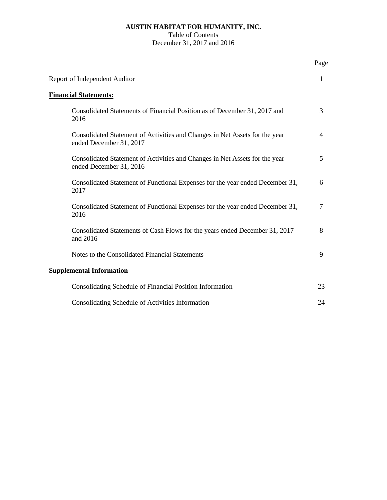#### **AUSTIN HABITAT FOR HUMANITY, INC.** Table of Contents December 31, 2017 and 2016

|                                                                                                        | Page |
|--------------------------------------------------------------------------------------------------------|------|
| Report of Independent Auditor                                                                          | 1    |
| <b>Financial Statements:</b>                                                                           |      |
| Consolidated Statements of Financial Position as of December 31, 2017 and<br>2016                      | 3    |
| Consolidated Statement of Activities and Changes in Net Assets for the year<br>ended December 31, 2017 | 4    |
| Consolidated Statement of Activities and Changes in Net Assets for the year<br>ended December 31, 2016 | 5    |
| Consolidated Statement of Functional Expenses for the year ended December 31,<br>2017                  | 6    |
| Consolidated Statement of Functional Expenses for the year ended December 31,<br>2016                  | 7    |
| Consolidated Statements of Cash Flows for the years ended December 31, 2017<br>and 2016                | 8    |
| Notes to the Consolidated Financial Statements                                                         | 9    |
| <b>Supplemental Information</b>                                                                        |      |
| Consolidating Schedule of Financial Position Information                                               | 23   |
| Consolidating Schedule of Activities Information                                                       | 24   |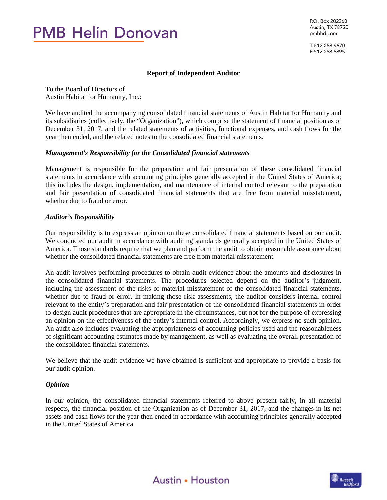# **PMB Helin Donovan**

P.O. Box 202260 Austin, TX 78720 pmbhd.com

T 512.258.9670 F 512.258.5895

#### **Report of Independent Auditor**

To the Board of Directors of Austin Habitat for Humanity, Inc.:

We have audited the accompanying consolidated financial statements of Austin Habitat for Humanity and its subsidiaries (collectively, the "Organization"), which comprise the statement of financial position as of December 31, 2017, and the related statements of activities, functional expenses, and cash flows for the year then ended, and the related notes to the consolidated financial statements.

#### *Management's Responsibility for the Consolidated financial statements*

Management is responsible for the preparation and fair presentation of these consolidated financial statements in accordance with accounting principles generally accepted in the United States of America; this includes the design, implementation, and maintenance of internal control relevant to the preparation and fair presentation of consolidated financial statements that are free from material misstatement, whether due to fraud or error.

#### *Auditor's Responsibility*

Our responsibility is to express an opinion on these consolidated financial statements based on our audit. We conducted our audit in accordance with auditing standards generally accepted in the United States of America. Those standards require that we plan and perform the audit to obtain reasonable assurance about whether the consolidated financial statements are free from material misstatement.

An audit involves performing procedures to obtain audit evidence about the amounts and disclosures in the consolidated financial statements. The procedures selected depend on the auditor's judgment, including the assessment of the risks of material misstatement of the consolidated financial statements, whether due to fraud or error. In making those risk assessments, the auditor considers internal control relevant to the entity's preparation and fair presentation of the consolidated financial statements in order to design audit procedures that are appropriate in the circumstances, but not for the purpose of expressing an opinion on the effectiveness of the entity's internal control. Accordingly, we express no such opinion. An audit also includes evaluating the appropriateness of accounting policies used and the reasonableness of significant accounting estimates made by management, as well as evaluating the overall presentation of the consolidated financial statements.

We believe that the audit evidence we have obtained is sufficient and appropriate to provide a basis for our audit opinion.

#### *Opinion*

In our opinion, the consolidated financial statements referred to above present fairly, in all material respects, the financial position of the Organization as of December 31, 2017, and the changes in its net assets and cash flows for the year then ended in accordance with accounting principles generally accepted in the United States of America.



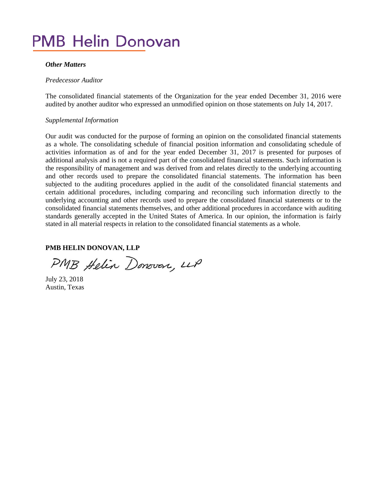# **PMB Helin Donovan**

#### *Other Matters*

#### *Predecessor Auditor*

The consolidated financial statements of the Organization for the year ended December 31, 2016 were audited by another auditor who expressed an unmodified opinion on those statements on July 14, 2017.

#### *Supplemental Information*

Our audit was conducted for the purpose of forming an opinion on the consolidated financial statements as a whole. The consolidating schedule of financial position information and consolidating schedule of activities information as of and for the year ended December 31, 2017 is presented for purposes of additional analysis and is not a required part of the consolidated financial statements. Such information is the responsibility of management and was derived from and relates directly to the underlying accounting and other records used to prepare the consolidated financial statements. The information has been subjected to the auditing procedures applied in the audit of the consolidated financial statements and certain additional procedures, including comparing and reconciling such information directly to the underlying accounting and other records used to prepare the consolidated financial statements or to the consolidated financial statements themselves, and other additional procedures in accordance with auditing standards generally accepted in the United States of America. In our opinion, the information is fairly stated in all material respects in relation to the consolidated financial statements as a whole.

#### **PMB HELIN DONOVAN, LLP**

PMB Helin Donover, UP

July 23, 2018 Austin, Texas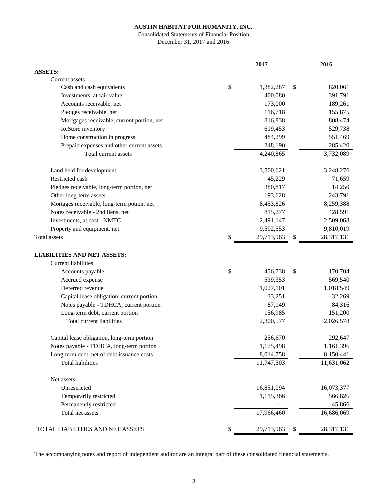## Consolidated Statements of Financial Position

December 31, 2017 and 2016

|                                             | 2017             | 2016             |
|---------------------------------------------|------------------|------------------|
| <b>ASSETS:</b>                              |                  |                  |
| Current assets                              |                  |                  |
| Cash and cash equivalents                   | \$<br>1,382,287  | \$<br>820,061    |
| Investments, at fair value                  | 400,080          | 391,791          |
| Accounts receivable, net                    | 173,000          | 189,261          |
| Pledges receivable, net                     | 116,718          | 155,875          |
| Mortgages receivable, current portion, net  | 816,838          | 808,474          |
| ReStore inventory                           | 619,453          | 529,738          |
| Home construction in progress               | 484,299          | 551,469          |
| Prepaid expenses and other current assets   | 248,190          | 285,420          |
| Total current assets                        | 4,240,865        | 3,732,089        |
| Land held for development                   | 3,500,621        | 3,248,276        |
| Restricted cash                             | 45,229           | 71,659           |
| Pledges receivable, long-term portion, net  | 380,817          | 14,250           |
| Other long-term assets                      | 193,628          | 243,791          |
| Mortages receivable, long-term potion, net  | 8,453,826        | 8,259,388        |
| Notes receivable - 2nd liens, net           | 815,277          | 428,591          |
| Investments, at cost - NMTC                 | 2,491,147        | 2,509,068        |
| Property and equipment, net                 | 9,592,553        | 9,810,019        |
| Total assets                                | \$<br>29,713,963 | \$<br>28,317,131 |
| <b>LIABILITIES AND NET ASSETS:</b>          |                  |                  |
| <b>Current liabilities</b>                  |                  |                  |
| Accounts payable                            | \$<br>456,738    | \$<br>170,704    |
| Accrued expense                             | 539,353          | 569,540          |
| Deferred revenue                            | 1,027,101        | 1,018,549        |
| Capital lease obligation, current portion   | 33,251           | 32,269           |
| Notes payable - TDHCA, current portion      | 87,149           | 84,316           |
| Long-term debt, current portion             | 156,985          | 151,200          |
| Total current liabilities                   | 2,300,577        | 2,026,578        |
| Capital lease obligation, long-term portion | 256,670          | 292,647          |
| Notes payable - TDHCA, long-term portion    | 1,175,498        | 1,161,396        |
| Long-term debt, net of debt issuance costs  | 8,014,758        | 8,150,441        |
| <b>Total liabilities</b>                    | 11,747,503       | 11,631,062       |
| Net assets                                  |                  |                  |
| Unrestricted                                | 16,851,094       | 16,073,377       |
| Temporarily restricted                      | 1,115,366        | 566,826          |
| Permanently restricted                      |                  | 45,866           |
| Total net assets                            | 17,966,460       | 16,686,069       |
| TOTAL LIABILITIES AND NET ASSETS            | \$<br>29,713,963 | \$<br>28,317,131 |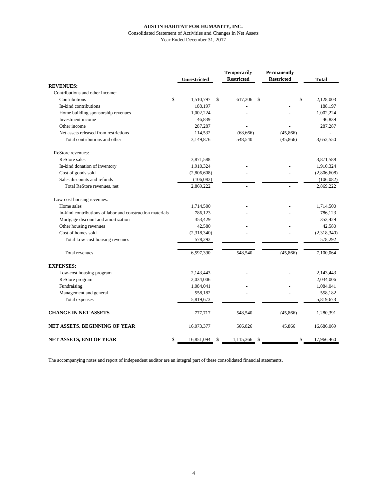### Consolidated Statement of Activities and Changes in Net Assets

Year Ended December 31, 2017

|                                                           | <b>Unrestricted</b> | Temporarily<br><b>Restricted</b> | <b>Permanently</b><br><b>Restricted</b> | <b>Total</b>     |
|-----------------------------------------------------------|---------------------|----------------------------------|-----------------------------------------|------------------|
| <b>REVENUES:</b>                                          |                     |                                  |                                         |                  |
| Contributions and other income:                           |                     |                                  |                                         |                  |
| \$<br>Contributions                                       | 1,510,797           | \$<br>617,206<br>-S              |                                         | \$<br>2,128,003  |
| In-kind contributions                                     | 188,197             |                                  |                                         | 188,197          |
| Home building sponsorship revenues                        | 1,002,224           |                                  |                                         | 1,002,224        |
| Investment income                                         | 46,839              |                                  |                                         | 46,839           |
| Other income                                              | 287,287             |                                  |                                         | 287,287          |
| Net assets released from restrictions                     | 114,532             | (68, 666)                        | (45, 866)                               |                  |
| Total contributions and other                             | 3,149,876           | 548,540                          | (45, 866)                               | 3,652,550        |
| ReStore revenues:                                         |                     |                                  |                                         |                  |
| <b>ReStore</b> sales                                      | 3,871,588           |                                  |                                         | 3,871,588        |
| In-kind donation of inventory                             | 1,910,324           |                                  |                                         | 1,910,324        |
| Cost of goods sold                                        | (2,806,608)         |                                  |                                         | (2,806,608)      |
| Sales discounts and refunds                               | (106, 082)          |                                  |                                         | (106, 082)       |
| Total ReStore revenues, net                               | 2,869,222           |                                  |                                         | 2,869,222        |
| Low-cost housing revenues:                                |                     |                                  |                                         |                  |
| Home sales                                                | 1,714,500           |                                  |                                         | 1,714,500        |
| In-kind contributions of labor and construction materials | 786,123             |                                  |                                         | 786,123          |
| Mortgage discount and amortization                        | 353,429             |                                  |                                         | 353,429          |
| Other housing revenues                                    | 42,580              |                                  |                                         | 42,580           |
| Cost of homes sold                                        | (2,318,340)         |                                  |                                         | (2,318,340)      |
| Total Low-cost housing revenues                           | 578,292             | $\overline{a}$                   | $\overline{a}$                          | 578,292          |
| Total revenues                                            | 6,597,390           | 548,540                          | (45, 866)                               | 7,100,064        |
| <b>EXPENSES:</b>                                          |                     |                                  |                                         |                  |
| Low-cost housing program                                  | 2,143,443           |                                  |                                         | 2,143,443        |
| ReStore program                                           | 2,034,006           |                                  |                                         | 2,034,006        |
| Fundraising                                               | 1,084,041           |                                  |                                         | 1,084,041        |
| Management and general                                    | 558,182             |                                  |                                         | 558,182          |
| Total expenses                                            | 5,819,673           |                                  |                                         | 5,819,673        |
| <b>CHANGE IN NET ASSETS</b>                               | 777,717             | 548,540                          | (45, 866)                               | 1,280,391        |
| NET ASSETS, BEGINNING OF YEAR                             | 16,073,377          | 566,826                          | 45,866                                  | 16,686,069       |
| NET ASSETS, END OF YEAR<br>\$                             | 16,851,094          | \$<br>1,115,366<br>- \$          |                                         | \$<br>17,966,460 |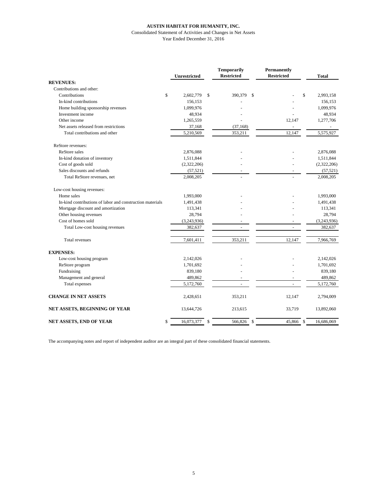Consolidated Statement of Activities and Changes in Net Assets

Year Ended December 31, 2016

|                                                           | <b>Unrestricted</b> |              | Temporarily<br><b>Restricted</b> | <b>Permanently</b><br><b>Restricted</b> | <b>Total</b> |
|-----------------------------------------------------------|---------------------|--------------|----------------------------------|-----------------------------------------|--------------|
| <b>REVENUES:</b>                                          |                     |              |                                  |                                         |              |
| Contributions and other:                                  |                     |              |                                  |                                         |              |
| \$<br>Contributions                                       | 2,602,779           | $\mathbb{S}$ | 390,379<br><sup>\$</sup>         | \$                                      | 2,993,158    |
| In-kind contributions                                     | 156,153             |              |                                  |                                         | 156,153      |
| Home building sponsorship revenues                        | 1,099,976           |              |                                  |                                         | 1,099,976    |
| Investment income                                         | 48,934              |              |                                  |                                         | 48,934       |
| Other income                                              | 1,265,559           |              |                                  | 12.147                                  | 1,277,706    |
| Net assets released from restrictions                     | 37,168              |              | (37, 168)                        |                                         |              |
| Total contributions and other                             | 5,210,569           |              | 353,211                          | 12,147                                  | 5,575,927    |
| ReStore revenues:                                         |                     |              |                                  |                                         |              |
| ReStore sales                                             | 2,876,088           |              |                                  |                                         | 2,876,088    |
| In-kind donation of inventory                             | 1,511,844           |              |                                  |                                         | 1,511,844    |
| Cost of goods sold                                        | (2,322,206)         |              |                                  |                                         | (2,322,206)  |
| Sales discounts and refunds                               | (57, 521)           |              |                                  |                                         | (57, 521)    |
| Total ReStore revenues, net                               | 2,008,205           |              |                                  |                                         | 2,008,205    |
| Low-cost housing revenues:                                |                     |              |                                  |                                         |              |
| Home sales                                                | 1,993,000           |              |                                  |                                         | 1,993,000    |
| In-kind contributions of labor and construction materials | 1,491,438           |              |                                  |                                         | 1,491,438    |
| Mortgage discount and amortization                        | 113,341             |              |                                  |                                         | 113,341      |
| Other housing revenues                                    | 28,794              |              |                                  |                                         | 28,794       |
| Cost of homes sold                                        | (3,243,936)         |              | $\overline{a}$                   | $\overline{a}$                          | (3,243,936)  |
| Total Low-cost housing revenues                           | 382,637             |              | $\blacksquare$                   |                                         | 382,637      |
| Total revenues                                            | 7,601,411           |              | 353,211                          | 12,147                                  | 7,966,769    |
| <b>EXPENSES:</b>                                          |                     |              |                                  |                                         |              |
| Low-cost housing program                                  | 2,142,026           |              |                                  |                                         | 2,142,026    |
| ReStore program                                           | 1,701,692           |              |                                  |                                         | 1,701,692    |
| Fundraising                                               | 839,180             |              |                                  |                                         | 839,180      |
| Management and general                                    | 489,862             |              |                                  |                                         | 489,862      |
| Total expenses                                            | 5,172,760           |              |                                  |                                         | 5,172,760    |
| <b>CHANGE IN NET ASSETS</b>                               | 2,428,651           |              | 353,211                          | 12,147                                  | 2,794,009    |
| NET ASSETS, BEGINNING OF YEAR                             | 13,644,726          |              | 213,615                          | 33,719                                  | 13,892,060   |
| NET ASSETS, END OF YEAR<br>\$                             | 16,073,377          | S            | 566,826<br><b>S</b>              | 45,866 \$                               | 16,686,069   |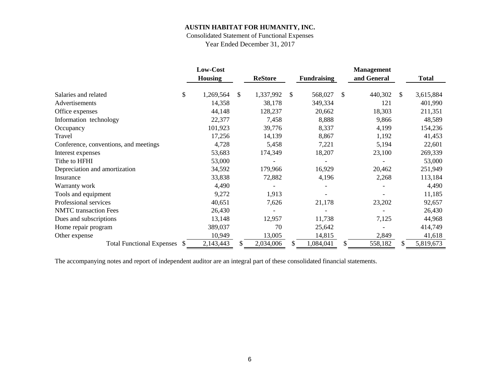# Consolidated Statement of Functional Expenses

Year Ended December 31, 2017

|                                       | Low-Cost       |    |                |     |                    | <b>Management</b> |    |              |
|---------------------------------------|----------------|----|----------------|-----|--------------------|-------------------|----|--------------|
|                                       | <b>Housing</b> |    | <b>ReStore</b> |     | <b>Fundraising</b> | and General       |    | <b>Total</b> |
| \$<br>Salaries and related            | 1,269,564      | \$ | 1,337,992      | \$  | 568,027            | \$<br>440,302     | \$ | 3,615,884    |
| Advertisements                        | 14,358         |    | 38,178         |     | 349,334            | 121               |    | 401,990      |
| Office expenses                       | 44,148         |    | 128,237        |     | 20,662             | 18,303            |    | 211,351      |
| Information technology                | 22,377         |    | 7,458          |     | 8,888              | 9,866             |    | 48,589       |
| Occupancy                             | 101,923        |    | 39,776         |     | 8,337              | 4,199             |    | 154,236      |
| Travel                                | 17,256         |    | 14,139         |     | 8,867              | 1,192             |    | 41,453       |
| Conference, conventions, and meetings | 4,728          |    | 5,458          |     | 7,221              | 5,194             |    | 22,601       |
| Interest expenses                     | 53,683         |    | 174,349        |     | 18,207             | 23,100            |    | 269,339      |
| Tithe to HFHI                         | 53,000         |    |                |     |                    |                   |    | 53,000       |
| Depreciation and amortization         | 34,592         |    | 179,966        |     | 16,929             | 20,462            |    | 251,949      |
| Insurance                             | 33,838         |    | 72,882         |     | 4,196              | 2,268             |    | 113,184      |
| Warranty work                         | 4,490          |    |                |     |                    |                   |    | 4,490        |
| Tools and equipment                   | 9,272          |    | 1,913          |     |                    |                   |    | 11,185       |
| Professional services                 | 40,651         |    | 7,626          |     | 21,178             | 23,202            |    | 92,657       |
| <b>NMTC</b> transaction Fees          | 26,430         |    |                |     |                    |                   |    | 26,430       |
| Dues and subscriptions                | 13,148         |    | 12,957         |     | 11,738             | 7,125             |    | 44,968       |
| Home repair program                   | 389,037        |    | 70             |     | 25,642             |                   |    | 414,749      |
| Other expense                         | 10,949         |    | 13,005         |     | 14,815             | 2,849             |    | 41,618       |
| <b>Total Functional Expenses</b>      | 2,143,443      | S  | 2,034,006      | \$. | 1,084,041          | \$<br>558,182     | S  | 5,819,673    |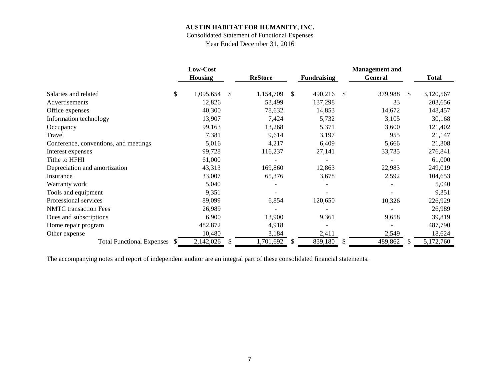Consolidated Statement of Functional Expenses

Year Ended December 31, 2016

|                                                  | Low-Cost       |               |                |                    |     | <b>Management</b> and |               |              |
|--------------------------------------------------|----------------|---------------|----------------|--------------------|-----|-----------------------|---------------|--------------|
|                                                  | <b>Housing</b> |               | <b>ReStore</b> | <b>Fundraising</b> |     | <b>General</b>        |               | <b>Total</b> |
| \$<br>Salaries and related                       | 1,095,654      | <sup>\$</sup> | 1,154,709      | \$<br>490,216      | \$. | 379,988               | <sup>\$</sup> | 3,120,567    |
| Advertisements                                   | 12,826         |               | 53,499         | 137,298            |     | 33                    |               | 203,656      |
| Office expenses                                  | 40,300         |               | 78,632         | 14,853             |     | 14,672                |               | 148,457      |
| Information technology                           | 13,907         |               | 7,424          | 5,732              |     | 3,105                 |               | 30,168       |
| Occupancy                                        | 99,163         |               | 13,268         | 5,371              |     | 3,600                 |               | 121,402      |
| Travel                                           | 7,381          |               | 9,614          | 3,197              |     | 955                   |               | 21,147       |
| Conference, conventions, and meetings            | 5,016          |               | 4,217          | 6,409              |     | 5,666                 |               | 21,308       |
| Interest expenses                                | 99,728         |               | 116,237        | 27,141             |     | 33,735                |               | 276,841      |
| Tithe to HFHI                                    | 61,000         |               |                |                    |     |                       |               | 61,000       |
| Depreciation and amortization                    | 43,313         |               | 169,860        | 12,863             |     | 22,983                |               | 249,019      |
| Insurance                                        | 33,007         |               | 65,376         | 3,678              |     | 2,592                 |               | 104,653      |
| Warranty work                                    | 5,040          |               |                |                    |     |                       |               | 5,040        |
| Tools and equipment                              | 9,351          |               |                |                    |     |                       |               | 9,351        |
| Professional services                            | 89,099         |               | 6,854          | 120,650            |     | 10,326                |               | 226,929      |
| <b>NMTC</b> transaction Fees                     | 26,989         |               |                |                    |     |                       |               | 26,989       |
| Dues and subscriptions                           | 6,900          |               | 13,900         | 9,361              |     | 9,658                 |               | 39,819       |
| Home repair program                              | 482,872        |               | 4,918          |                    |     |                       |               | 487,790      |
| Other expense                                    | 10,480         |               | 3,184          | 2,411              |     | 2,549                 |               | 18,624       |
| <b>Total Functional Expenses</b><br><sup>8</sup> | 2,142,026      | \$.           | 1,701,692      | \$<br>839,180      | \$. | 489,862               | S             | 5,172,760    |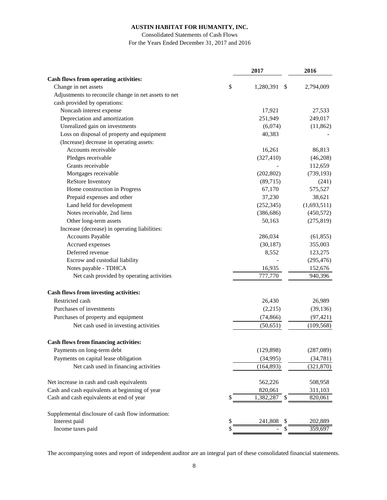#### Consolidated Statements of Cash Flows For the Years Ended December 31, 2017 and 2016

|                                                      | 2017                  | 2016        |
|------------------------------------------------------|-----------------------|-------------|
| Cash flows from operating activities:                |                       |             |
| Change in net assets                                 | \$<br>1,280,391<br>\$ | 2,794,009   |
| Adjustments to reconcile change in net assets to net |                       |             |
| cash provided by operations:                         |                       |             |
| Noncash interest expense                             | 17,921                | 27,533      |
| Depreciation and amortization                        | 251,949               | 249,017     |
| Unrealized gain on investments                       | (6,074)               | (11, 862)   |
| Loss on disposal of property and equipment           | 40,383                |             |
| (Increase) decrease in operating assets:             |                       |             |
| Accounts receivable                                  | 16,261                | 86,813      |
| Pledges receivable                                   | (327, 410)            | (46,208)    |
| Grants receivable                                    |                       | 112,659     |
| Mortgages receivable                                 | (202, 802)            | (739, 193)  |
| <b>ReStore Inventory</b>                             | (89, 715)             | (241)       |
| Home construction in Progress                        | 67,170                | 575,527     |
| Prepaid expenses and other                           | 37,230                | 38,621      |
| Land held for development                            | (252, 345)            | (1,693,511) |
| Notes receivable, 2nd liens                          | (386, 686)            | (450, 572)  |
| Other long-term assets                               | 50,163                | (275, 819)  |
| Increase (decrease) in operating liabilities:        |                       |             |
| <b>Accounts Payable</b>                              | 286,034               | (61, 855)   |
| Accrued expenses                                     | (30, 187)             | 355,003     |
| Deferred revenue                                     | 8,552                 | 123,275     |
| Escrow and custodial liability                       |                       | (295, 476)  |
| Notes payable - TDHCA                                | 16,935                | 152,676     |
| Net cash provided by operating activities            | 777,770               | 940,396     |
| Cash flows from investing activities:                |                       |             |
| Restricted cash                                      | 26,430                | 26,989      |
| Purchases of investments                             | (2,215)               | (39, 136)   |
| Purchases of property and equipment                  | (74, 866)             | (97, 421)   |
| Net cash used in investing activities                | (50, 651)             | (109, 568)  |
| <b>Cash flows from financing activities:</b>         |                       |             |
| Payments on long-term debt                           | (129, 898)            | (287,089)   |
| Payments on capital lease obligation                 | (34,995)              | (34, 781)   |
| Net cash used in financing activities                | (164, 893)            | (321, 870)  |
| Net increase in cash and cash equivalents            | 562,226               | 508,958     |
| Cash and cash equivalents at beginning of year       | 820,061               | 311,103     |
| Cash and cash equivalents at end of year             | \$<br>\$<br>1,382,287 | 820,061     |
| Supplemental disclosure of cash flow information:    |                       |             |
| Interest paid                                        | \$<br>241,808<br>\$   | 202,889     |
| Income taxes paid                                    | \$<br>\$              | 359,697     |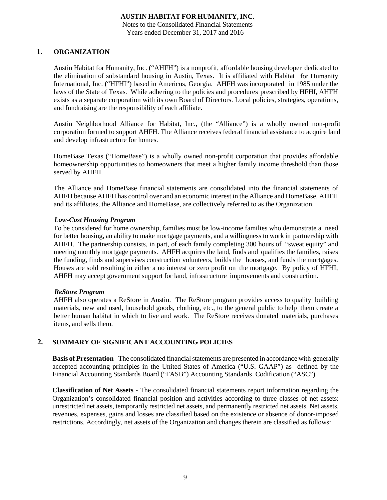Notes to the Consolidated Financial Statements Years ended December 31, 2017 and 2016

## **1. ORGANIZATION**

Austin Habitat for Humanity, Inc. ("AHFH") is a nonprofit, affordable housing developer dedicated to the elimination of substandard housing in Austin, Texas. It is affiliated with Habitat for Humanity International, Inc. ("HFHI") based in Americus, Georgia. AHFH was incorporated in 1985 under the laws of the State of Texas. While adhering to the policies and procedures prescribed by HFHI, AHFH exists as a separate corporation with its own Board of Directors. Local policies, strategies, operations, and fundraising are the responsibility of each affiliate.

Austin Neighborhood Alliance for Habitat, Inc., (the "Alliance") is a wholly owned non-profit corporation formed to support AHFH. The Alliance receives federal financial assistance to acquire land and develop infrastructure for homes.

HomeBase Texas ("HomeBase") is a wholly owned non-profit corporation that provides affordable homeownership opportunities to homeowners that meet a higher family income threshold than those served by AHFH.

The Alliance and HomeBase financial statements are consolidated into the financial statements of AHFH because AHFH has control over and an economic interest in the Alliance and HomeBase. AHFH and its affiliates, the Alliance and HomeBase, are collectively referred to as the Organization.

#### *Low-Cost Housing Program*

To be considered for home ownership, families must be low-income families who demonstrate a need for better housing, an ability to make mortgage payments, and a willingness to work in partnership with AHFH. The partnership consists, in part, of each family completing 300 hours of "sweat equity" and meeting monthly mortgage payments. AHFH acquires the land, finds and qualifies the families, raises the funding, finds and supervises construction volunteers, builds the houses, and funds the mortgages. Houses are sold resulting in either a no interest or zero profit on the mortgage. By policy of HFHI, AHFH may accept government support for land, infrastructure improvements and construction.

#### *ReStore Program*

AHFH also operates a ReStore in Austin. The ReStore program provides access to quality building materials, new and used, household goods, clothing, etc., to the general public to help them create a better human habitat in which to live and work. The ReStore receives donated materials, purchases items, and sells them.

# **2. SUMMARY OF SIGNIFICANT ACCOUNTING POLICIES**

**Basis of Presentation - The consolidated financial statements are presented in accordance with generally** accepted accounting principles in the United States of America ("U.S. GAAP") as defined by the Financial Accounting Standards Board ("FASB") Accounting Standards Codification ("ASC").

**Classification of Net Assets -** The consolidated financial statements report information regarding the Organization's consolidated financial position and activities according to three classes of net assets: unrestricted net assets, temporarily restricted net assets, and permanently restricted net assets. Net assets, revenues, expenses, gains and losses are classified based on the existence or absence of donor-imposed restrictions. Accordingly, net assets of the Organization and changes therein are classified as follows: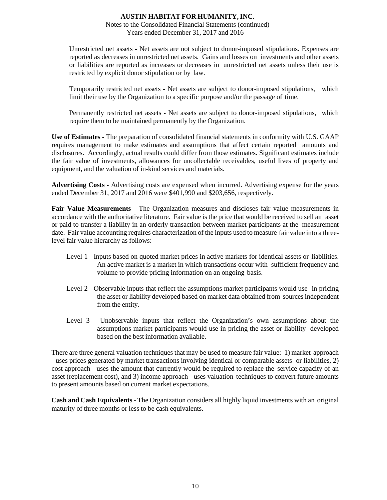Notes to the Consolidated Financial Statements (continued) Years ended December 31, 2017 and 2016

Unrestricted net assets **-** Net assets are not subject to donor-imposed stipulations. Expenses are reported as decreases in unrestricted net assets. Gains and losses on investments and other assets or liabilities are reported as increases or decreases in unrestricted net assets unless their use is restricted by explicit donor stipulation or by law.

Temporarily restricted net assets **-** Net assets are subject to donor-imposed stipulations, which limit their use by the Organization to a specific purpose and/or the passage of time.

Permanently restricted net assets **-** Net assets are subject to donor-imposed stipulations, which require them to be maintained permanently by the Organization.

**Use of Estimates -** The preparation of consolidated financial statements in conformity with U.S. GAAP requires management to make estimates and assumptions that affect certain reported amounts and disclosures. Accordingly, actual results could differ from those estimates. Significant estimates include the fair value of investments, allowances for uncollectable receivables, useful lives of property and equipment, and the valuation of in-kind services and materials.

**Advertising Costs -** Advertising costs are expensed when incurred. Advertising expense for the years ended December 31, 2017 and 2016 were \$401,990 and \$203,656, respectively.

**Fair Value Measurements -** The Organization measures and discloses fair value measurements in accordance with the authoritative literature. Fair value is the price that would be received to sell an asset or paid to transfer a liability in an orderly transaction between market participants at the measurement date. Fair value accounting requires characterization of the inputs used to measure fair value into a threelevel fair value hierarchy as follows:

- Level 1 **-** Inputs based on quoted market prices in active markets for identical assets or liabilities. An active market is a market in which transactions occur with sufficient frequency and volume to provide pricing information on an ongoing basis.
- Level 2 **-** Observable inputs that reflect the assumptions market participants would use in pricing the asset or liability developed based on market data obtained from sources independent from the entity.
- Level 3 **-** Unobservable inputs that reflect the Organization's own assumptions about the assumptions market participants would use in pricing the asset or liability developed based on the best information available.

There are three general valuation techniques that may be used to measure fair value: 1) market approach **-** uses prices generated by market transactions involving identical or comparable assets or liabilities, 2) cost approach **-** uses the amount that currently would be required to replace the service capacity of an asset (replacement cost), and 3) income approach **-** uses valuation techniques to convert future amounts to present amounts based on current market expectations.

**Cash and Cash Equivalents -** The Organization considers all highly liquid investments with an original maturity of three months or less to be cash equivalents.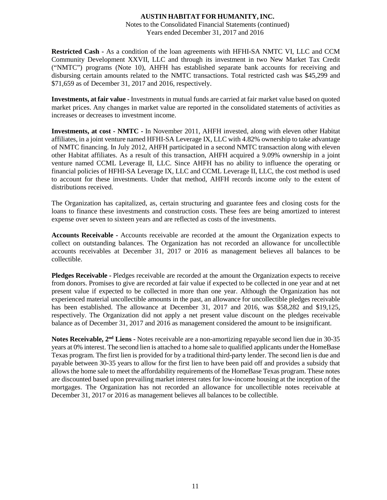#### Notes to the Consolidated Financial Statements (continued) Years ended December 31, 2017 and 2016

**Restricted Cash -** As a condition of the loan agreements with HFHI-SA NMTC VI, LLC and CCM Community Development XXVII, LLC and through its investment in two New Market Tax Credit ("NMTC") programs (Note 10), AHFH has established separate bank accounts for receiving and disbursing certain amounts related to the NMTC transactions. Total restricted cash was \$45,299 and \$71,659 as of December 31, 2017 and 2016, respectively.

**Investments, at fair value -** Investments in mutual funds are carried at fair market value based on quoted market prices. Any changes in market value are reported in the consolidated statements of activities as increases or decreases to investment income.

**Investments, at cost - NMTC -** In November 2011, AHFH invested, along with eleven other Habitat affiliates, in a joint venture named HFHI-SA Leverage IX, LLC with 4.82% ownership to take advantage of NMTC financing. In July 2012, AHFH participated in a second NMTC transaction along with eleven other Habitat affiliates. As a result of this transaction, AHFH acquired a 9.09% ownership in a joint venture named CCML Leverage II, LLC. Since AHFH has no ability to influence the operating or financial policies of HFHI-SA Leverage IX, LLC and CCML Leverage II, LLC, the cost method is used to account for these investments. Under that method, AHFH records income only to the extent of distributions received.

The Organization has capitalized, as, certain structuring and guarantee fees and closing costs for the loans to finance these investments and construction costs. These fees are being amortized to interest expense over seven to sixteen years and are reflected as costs of the investments.

**Accounts Receivable -** Accounts receivable are recorded at the amount the Organization expects to collect on outstanding balances. The Organization has not recorded an allowance for uncollectible accounts receivables at December 31, 2017 or 2016 as management believes all balances to be collectible.

**Pledges Receivable -** Pledges receivable are recorded at the amount the Organization expects to receive from donors. Promises to give are recorded at fair value if expected to be collected in one year and at net present value if expected to be collected in more than one year. Although the Organization has not experienced material uncollectible amounts in the past, an allowance for uncollectible pledges receivable has been established. The allowance at December 31, 2017 and 2016, was \$58,282 and \$19,125, respectively. The Organization did not apply a net present value discount on the pledges receivable balance as of December 31, 2017 and 2016 as management considered the amount to be insignificant.

**Notes Receivable, 2nd Liens -** Notes receivable are a non-amortizing repayable second lien due in 30-35 years at 0% interest. The second lien is attached to a home sale to qualified applicants under the HomeBase Texas program. The first lien is provided for by a traditional third-party lender. The second lien is due and payable between 30-35 years to allow for the first lien to have been paid off and provides a subsidy that allows the home sale to meet the affordability requirements of the HomeBase Texas program. These notes are discounted based upon prevailing market interest rates for low-income housing at the inception of the mortgages. The Organization has not recorded an allowance for uncollectible notes receivable at December 31, 2017 or 2016 as management believes all balances to be collectible.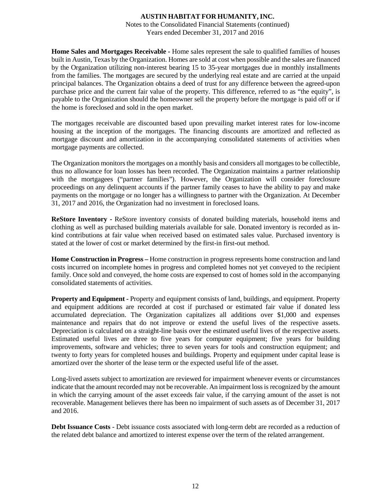Notes to the Consolidated Financial Statements (continued) Years ended December 31, 2017 and 2016

**Home Sales and Mortgages Receivable -** Home sales represent the sale to qualified families of houses built in Austin, Texas by the Organization. Homes are sold at cost when possible and the sales are financed by the Organization utilizing non-interest bearing 15 to 35-year mortgages due in monthly installments from the families. The mortgages are secured by the underlying real estate and are carried at the unpaid principal balances. The Organization obtains a deed of trust for any difference between the agreed-upon purchase price and the current fair value of the property. This difference, referred to as "the equity", is payable to the Organization should the homeowner sell the property before the mortgage is paid off or if the home is foreclosed and sold in the open market.

The mortgages receivable are discounted based upon prevailing market interest rates for low-income housing at the inception of the mortgages. The financing discounts are amortized and reflected as mortgage discount and amortization in the accompanying consolidated statements of activities when mortgage payments are collected.

The Organization monitors the mortgages on a monthly basis and considers all mortgages to be collectible, thus no allowance for loan losses has been recorded. The Organization maintains a partner relationship with the mortgagees ("partner families"). However, the Organization will consider foreclosure proceedings on any delinquent accounts if the partner family ceases to have the ability to pay and make payments on the mortgage or no longer has a willingness to partner with the Organization. At December 31, 2017 and 2016, the Organization had no investment in foreclosed loans.

**ReStore Inventory -** ReStore inventory consists of donated building materials, household items and clothing as well as purchased building materials available for sale. Donated inventory is recorded as inkind contributions at fair value when received based on estimated sales value. Purchased inventory is stated at the lower of cost or market determined by the first-in first-out method.

**Home Construction in Progress –** Home construction in progress represents home construction and land costs incurred on incomplete homes in progress and completed homes not yet conveyed to the recipient family. Once sold and conveyed, the home costs are expensed to cost of homes sold in the accompanying consolidated statements of activities.

**Property and Equipment -** Property and equipment consists of land, buildings, and equipment. Property and equipment additions are recorded at cost if purchased or estimated fair value if donated less accumulated depreciation. The Organization capitalizes all additions over \$1,000 and expenses maintenance and repairs that do not improve or extend the useful lives of the respective assets. Depreciation is calculated on a straight-line basis over the estimated useful lives of the respective assets. Estimated useful lives are three to five years for computer equipment; five years for building improvements, software and vehicles; three to seven years for tools and construction equipment; and twenty to forty years for completed houses and buildings. Property and equipment under capital lease is amortized over the shorter of the lease term or the expected useful life of the asset.

Long-lived assets subject to amortization are reviewed for impairment whenever events or circumstances indicate that the amount recorded may not be recoverable. An impairment loss is recognized by the amount in which the carrying amount of the asset exceeds fair value, if the carrying amount of the asset is not recoverable. Management believes there has been no impairment of such assets as of December 31, 2017 and 2016.

**Debt Issuance Costs** - Debt issuance costs associated with long-term debt are recorded as a reduction of the related debt balance and amortized to interest expense over the term of the related arrangement.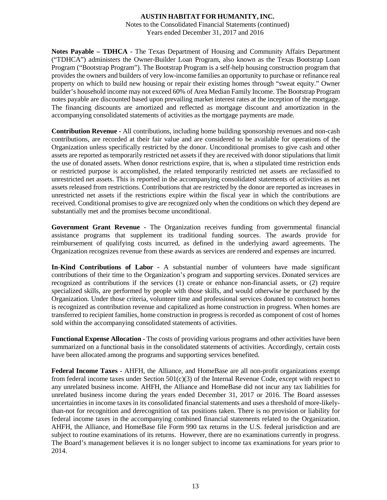Notes to the Consolidated Financial Statements (continued) Years ended December 31, 2017 and 2016

**Notes Payable – TDHCA** - The Texas Department of Housing and Community Affairs Department ("TDHCA") administers the Owner-Builder Loan Program, also known as the Texas Bootstrap Loan Program ("Bootstrap Program"). The Bootstrap Program is a self-help housing construction program that provides the owners and builders of very low-income families an opportunity to purchase or refinance real property on which to build new housing or repair their existing homes through "sweat equity." Owner builder's household income may not exceed 60% of Area Median Family Income. The Bootstrap Program notes payable are discounted based upon prevailing market interest rates at the inception of the mortgage. The financing discounts are amortized and reflected as mortgage discount and amortization in the accompanying consolidated statements of activities as the mortgage payments are made.

**Contribution Revenue -** All contributions, including home building sponsorship revenues and non-cash contributions, are recorded at their fair value and are considered to be available for operations of the Organization unless specifically restricted by the donor. Unconditional promises to give cash and other assets are reported as temporarily restricted net assets if they are received with donor stipulations that limit the use of donated assets. When donor restrictions expire, that is, when a stipulated time restriction ends or restricted purpose is accomplished, the related temporarily restricted net assets are reclassified to unrestricted net assets. This is reported in the accompanying consolidated statements of activities as net assets released from restrictions. Contributions that are restricted by the donor are reported as increases in unrestricted net assets if the restrictions expire within the fiscal year in which the contributions are received. Conditional promises to give are recognized only when the conditions on which they depend are substantially met and the promises become unconditional.

**Government Grant Revenue -** The Organization receives funding from governmental financial assistance programs that supplement its traditional funding sources. The awards provide for reimbursement of qualifying costs incurred, as defined in the underlying award agreements. The Organization recognizes revenue from these awards as services are rendered and expenses are incurred.

**In-Kind Contributions of Labor -** A substantial number of volunteers have made significant contributions of their time to the Organization's program and supporting services. Donated services are recognized as contributions if the services (1) create or enhance non-financial assets, or (2) require specialized skills, are performed by people with those skills, and would otherwise be purchased by the Organization. Under those criteria, volunteer time and professional services donated to construct homes is recognized as contribution revenue and capitalized as home construction in progress. When homes are transferred to recipient families, home construction in progress is recorded as component of cost of homes sold within the accompanying consolidated statements of activities.

**Functional Expense Allocation -** The costs of providing various programs and other activities have been summarized on a functional basis in the consolidated statements of activities. Accordingly, certain costs have been allocated among the programs and supporting services benefited.

**Federal Income Taxes -** AHFH, the Alliance, and HomeBase are all non-profit organizations exempt from federal income taxes under Section  $501(c)(3)$  of the Internal Revenue Code, except with respect to any unrelated business income. AHFH, the Alliance and HomeBase did not incur any tax liabilities for unrelated business income during the years ended December 31, 2017 or 2016. The Board assesses uncertainties in income taxes in its consolidated financial statements and uses a threshold of more-likelythan-not for recognition and derecognition of tax positions taken. There is no provision or liability for federal income taxes in the accompanying combined financial statements related to the Organization. AHFH, the Alliance, and HomeBase file Form 990 tax returns in the U.S. federal jurisdiction and are subject to routine examinations of its returns. However, there are no examinations currently in progress. The Board's management believes it is no longer subject to income tax examinations for years prior to 2014.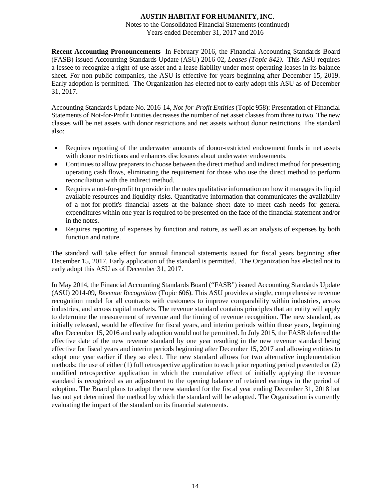#### Notes to the Consolidated Financial Statements (continued) Years ended December 31, 2017 and 2016

**Recent Accounting Pronouncements-** In February 2016, the Financial Accounting Standards Board (FASB) issued Accounting Standards Update (ASU) 2016-02, *Leases (Topic 842)*. This ASU requires a lessee to recognize a right-of-use asset and a lease liability under most operating leases in its balance sheet. For non-public companies, the ASU is effective for years beginning after December 15, 2019. Early adoption is permitted. The Organization has elected not to early adopt this ASU as of December 31, 2017.

Accounting Standards Update No. 2016-14, *Not-for-Profit Entities* (Topic 958): Presentation of Financial Statements of Not-for-Profit Entities decreases the number of net asset classes from three to two. The new classes will be net assets with donor restrictions and net assets without donor restrictions. The standard also:

- Requires reporting of the underwater amounts of donor-restricted endowment funds in net assets with donor restrictions and enhances disclosures about underwater endowments.
- Continues to allow preparers to choose between the direct method and indirect method for presenting operating cash flows, eliminating the requirement for those who use the direct method to perform reconciliation with the indirect method.
- Requires a not-for-profit to provide in the notes qualitative information on how it manages its liquid available resources and liquidity risks. Quantitative information that communicates the availability of a not-for-profit's financial assets at the balance sheet date to meet cash needs for general expenditures within one year is required to be presented on the face of the financial statement and/or in the notes.
- Requires reporting of expenses by function and nature, as well as an analysis of expenses by both function and nature.

The standard will take effect for annual financial statements issued for fiscal years beginning after December 15, 2017. Early application of the standard is permitted. The Organization has elected not to early adopt this ASU as of December 31, 2017.

In May 2014, the Financial Accounting Standards Board ("FASB") issued Accounting Standards Update (ASU) 2014-09, *Revenue Recognition* (Topic 606). This ASU provides a single, comprehensive revenue recognition model for all contracts with customers to improve comparability within industries, across industries, and across capital markets. The revenue standard contains principles that an entity will apply to determine the measurement of revenue and the timing of revenue recognition. The new standard, as initially released, would be effective for fiscal years, and interim periods within those years, beginning after December 15, 2016 and early adoption would not be permitted. In July 2015, the FASB deferred the effective date of the new revenue standard by one year resulting in the new revenue standard being effective for fiscal years and interim periods beginning after December 15, 2017 and allowing entities to adopt one year earlier if they so elect. The new standard allows for two alternative implementation methods: the use of either (1) full retrospective application to each prior reporting period presented or (2) modified retrospective application in which the cumulative effect of initially applying the revenue standard is recognized as an adjustment to the opening balance of retained earnings in the period of adoption. The Board plans to adopt the new standard for the fiscal year ending December 31, 2018 but has not yet determined the method by which the standard will be adopted. The Organization is currently evaluating the impact of the standard on its financial statements.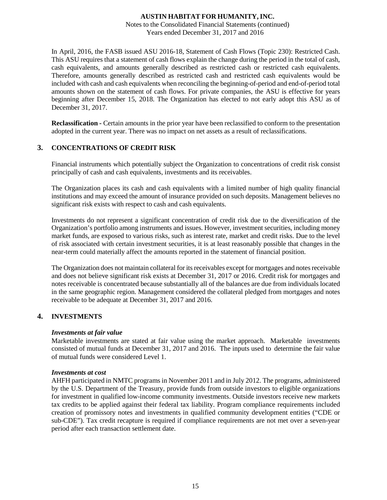Notes to the Consolidated Financial Statements (continued) Years ended December 31, 2017 and 2016

In April, 2016, the FASB issued ASU 2016-18, Statement of Cash Flows (Topic 230): Restricted Cash. This ASU requires that a statement of cash flows explain the change during the period in the total of cash, cash equivalents, and amounts generally described as restricted cash or restricted cash equivalents. Therefore, amounts generally described as restricted cash and restricted cash equivalents would be included with cash and cash equivalents when reconciling the beginning-of-period and end-of-period total amounts shown on the statement of cash flows. For private companies, the ASU is effective for years beginning after December 15, 2018. The Organization has elected to not early adopt this ASU as of December 31, 2017.

**Reclassification -** Certain amounts in the prior year have been reclassified to conform to the presentation adopted in the current year. There was no impact on net assets as a result of reclassifications.

#### **3. CONCENTRATIONS OF CREDIT RISK**

Financial instruments which potentially subject the Organization to concentrations of credit risk consist principally of cash and cash equivalents, investments and its receivables.

The Organization places its cash and cash equivalents with a limited number of high quality financial institutions and may exceed the amount of insurance provided on such deposits. Management believes no significant risk exists with respect to cash and cash equivalents.

Investments do not represent a significant concentration of credit risk due to the diversification of the Organization's portfolio among instruments and issues. However, investment securities, including money market funds, are exposed to various risks, such as interest rate, market and credit risks. Due to the level of risk associated with certain investment securities, it is at least reasonably possible that changes in the near-term could materially affect the amounts reported in the statement of financial position.

The Organization does not maintain collateral for its receivables except for mortgages and notes receivable and does not believe significant risk exists at December 31, 2017 or 2016. Credit risk for mortgages and notes receivable is concentrated because substantially all of the balances are due from individuals located in the same geographic region. Management considered the collateral pledged from mortgages and notes receivable to be adequate at December 31, 2017 and 2016.

# **4. INVESTMENTS**

#### *Investments at fair value*

Marketable investments are stated at fair value using the market approach. Marketable investments consisted of mutual funds at December 31, 2017 and 2016. The inputs used to determine the fair value of mutual funds were considered Level 1.

#### *Investments at cost*

AHFH participated in NMTC programs in November 2011 and in July 2012. The programs, administered by the U.S. Department of the Treasury, provide funds from outside investors to eligible organizations for investment in qualified low-income community investments. Outside investors receive new markets tax credits to be applied against their federal tax liability. Program compliance requirements included creation of promissory notes and investments in qualified community development entities ("CDE or sub-CDE"). Tax credit recapture is required if compliance requirements are not met over a seven-year period after each transaction settlement date.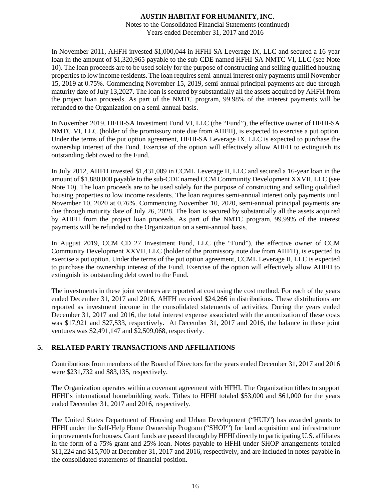Notes to the Consolidated Financial Statements (continued) Years ended December 31, 2017 and 2016

In November 2011, AHFH invested \$1,000,044 in HFHI-SA Leverage IX, LLC and secured a 16-year loan in the amount of \$1,320,965 payable to the sub-CDE named HFHI-SA NMTC VI, LLC (see Note 10). The loan proceeds are to be used solely for the purpose of constructing and selling qualified housing propertiesto low income residents. The loan requiressemi-annual interest only payments until November 15, 2019 at 0.75%. Commencing November 15, 2019, semi-annual principal payments are due through maturity date of July 13,2027. The loan is secured by substantially all the assets acquired by AHFH from the project loan proceeds. As part of the NMTC program, 99.98% of the interest payments will be refunded to the Organization on a semi-annual basis.

In November 2019, HFHI-SA Investment Fund VI, LLC (the "Fund"), the effective owner of HFHI-SA NMTC VI, LLC (holder of the promissory note due from AHFH), is expected to exercise a put option. Under the terms of the put option agreement, HFHI-SA Leverage IX, LLC is expected to purchase the ownership interest of the Fund. Exercise of the option will effectively allow AHFH to extinguish its outstanding debt owed to the Fund.

In July 2012, AHFH invested \$1,431,009 in CCML Leverage II, LLC and secured a 16-year loan in the amount of \$1,880,000 payable to the sub-CDE named CCM Community Development XXVII, LLC (see Note 10). The loan proceeds are to be used solely for the purpose of constructing and selling qualified housing properties to low income residents. The loan requires semi-annual interest only payments until November 10, 2020 at 0.76%. Commencing November 10, 2020, semi-annual principal payments are due through maturity date of July 26, 2028. The loan is secured by substantially all the assets acquired by AHFH from the project loan proceeds. As part of the NMTC program, 99.99% of the interest payments will be refunded to the Organization on a semi-annual basis.

In August 2019, CCM CD 27 Investment Fund, LLC (the "Fund"), the effective owner of CCM Community Development XXVII, LLC (holder of the promissory note due from AHFH), is expected to exercise a put option. Under the terms of the put option agreement, CCML Leverage II, LLC is expected to purchase the ownership interest of the Fund. Exercise of the option will effectively allow AHFH to extinguish its outstanding debt owed to the Fund.

The investments in these joint ventures are reported at cost using the cost method. For each of the years ended December 31, 2017 and 2016, AHFH received \$24,266 in distributions. These distributions are reported as investment income in the consolidated statements of activities. During the years ended December 31, 2017 and 2016, the total interest expense associated with the amortization of these costs was \$17,921 and \$27,533, respectively. At December 31, 2017 and 2016, the balance in these joint ventures was \$2,491,147 and \$2,509,068, respectively.

# **5. RELATED PARTY TRANSACTIONS AND AFFILIATIONS**

Contributions from members of the Board of Directors for the years ended December 31, 2017 and 2016 were \$231,732 and \$83,135, respectively.

The Organization operates within a covenant agreement with HFHI. The Organization tithes to support HFHI's international homebuilding work. Tithes to HFHI totaled \$53,000 and \$61,000 for the years ended December 31, 2017 and 2016, respectively.

The United States Department of Housing and Urban Development ("HUD") has awarded grants to HFHI under the Self-Help Home Ownership Program ("SHOP") for land acquisition and infrastructure improvements for houses. Grant funds are passed through by HFHI directly to participating U.S. affiliates in the form of a 75% grant and 25% loan. Notes payable to HFHI under SHOP arrangements totaled \$11,224 and \$15,700 at December 31, 2017 and 2016, respectively, and are included in notes payable in the consolidated statements of financial position.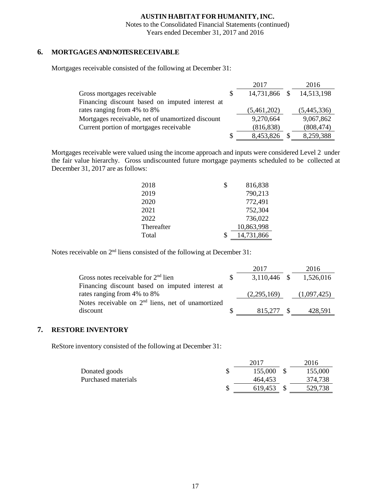Notes to the Consolidated Financial Statements (continued) Years ended December 31, 2017 and 2016

# **6. MORTGAGES AND NOTES RECEIVABLE**

Mortgages receivable consisted of the following at December 31:

|                                                   |   | 2017          | 2016        |
|---------------------------------------------------|---|---------------|-------------|
| Gross mortgages receivable                        | S | 14,731,866 \$ | 14,513,198  |
| Financing discount based on imputed interest at   |   |               |             |
| rates ranging from 4% to 8%                       |   | (5,461,202)   | (5,445,336) |
| Mortgages receivable, net of unamortized discount |   | 9,270,664     | 9,067,862   |
| Current portion of mortgages receivable           |   | (816, 838)    | (808, 474)  |
|                                                   |   | 8,453,826     | 8,259,388   |

Mortgages receivable were valued using the income approach and inputs were considered Level 2 under the fair value hierarchy. Gross undiscounted future mortgage payments scheduled to be collected at December 31, 2017 are as follows:

| 2018       | \$<br>816,838    |
|------------|------------------|
| 2019       | 790,213          |
| 2020       | 772,491          |
| 2021       | 752,304          |
| 2022       | 736,022          |
| Thereafter | 10,863,998       |
| Total      | \$<br>14,731,866 |
|            |                  |

Notes receivable on 2nd liens consisted of the following at December 31:

|                                                     | 2017         | 2016        |
|-----------------------------------------------------|--------------|-------------|
| Gross notes receivable for $2nd$ lien               | 3,110,446 \$ | 1,526,016   |
| Financing discount based on imputed interest at     |              |             |
| rates ranging from 4% to 8%                         | (2,295,169)  | (1,097,425) |
| Notes receivable on $2nd$ liens, net of unamortized |              |             |
| discount                                            | 815,277      | 428,591     |

#### **7. RESTORE INVENTORY**

ReStore inventory consisted of the following at December 31:

|                     | 2017    | 2016    |
|---------------------|---------|---------|
| Donated goods       | 155,000 | 155,000 |
| Purchased materials | 464.453 | 374,738 |
|                     | 619,453 | 529.738 |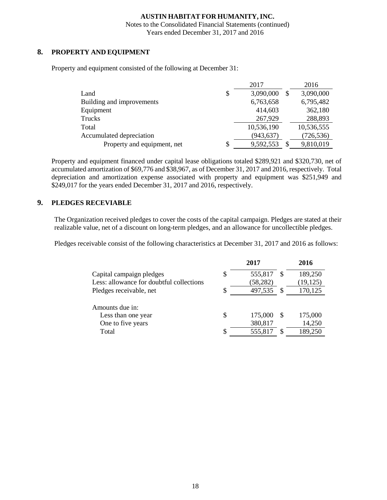Notes to the Consolidated Financial Statements (continued) Years ended December 31, 2017 and 2016

## **8. PROPERTY AND EQUIPMENT**

Property and equipment consisted of the following at December 31:

|                             |    | 2017       | 2016       |
|-----------------------------|----|------------|------------|
| Land                        | \$ | 3,090,000  | 3,090,000  |
| Building and improvements   |    | 6,763,658  | 6,795,482  |
| Equipment                   |    | 414,603    | 362,180    |
| Trucks                      |    | 267,929    | 288,893    |
| Total                       |    | 10,536,190 | 10,536,555 |
| Accumulated depreciation    |    | (943, 637) | (726, 536) |
| Property and equipment, net | S  | 9,592,553  | 9,810,019  |

Property and equipment financed under capital lease obligations totaled \$289,921 and \$320,730, net of accumulated amortization of \$69,776 and \$38,967, as of December 31, 2017 and 2016, respectively. Total depreciation and amortization expense associated with property and equipment was \$251,949 and \$249,017 for the years ended December 31, 2017 and 2016, respectively.

# **9. PLEDGES RECEVIABLE**

The Organization received pledges to cover the costs of the capital campaign. Pledges are stated at their realizable value, net of a discount on long-term pledges, and an allowance for uncollectible pledges.

Pledges receivable consist of the following characteristics at December 31, 2017 and 2016 as follows:

|                                          | 2017          |    | 2016      |
|------------------------------------------|---------------|----|-----------|
| Capital campaign pledges                 | \$<br>555,817 |    | 189,250   |
| Less: allowance for doubtful collections | (58, 282)     |    | (19, 125) |
| Pledges receivable, net                  | \$<br>497,535 |    | 170,125   |
| Amounts due in:                          |               |    |           |
| Less than one year                       | \$<br>175,000 | -S | 175,000   |
| One to five years                        | 380,817       |    | 14,250    |
| Total                                    | \$<br>555,817 | S  | 189,250   |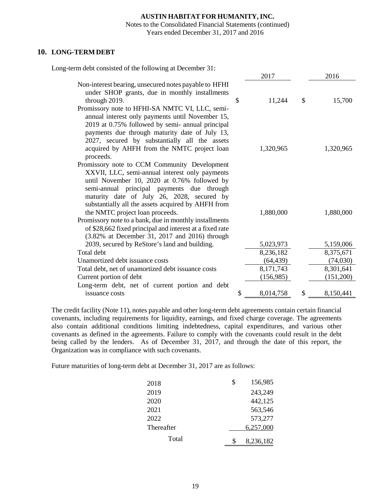Notes to the Consolidated Financial Statements (continued) Years ended December 31, 2017 and 2016

#### **10. LONG-TERM DEBT**

| Long-term debt consisted of the following at December 31:                                                                                                                                                                                                                                                |                 |                 |
|----------------------------------------------------------------------------------------------------------------------------------------------------------------------------------------------------------------------------------------------------------------------------------------------------------|-----------------|-----------------|
|                                                                                                                                                                                                                                                                                                          | 2017            | 2016            |
| Non-interest bearing, unsecured notes payable to HFHI<br>under SHOP grants, due in monthly installments<br>through 2019.                                                                                                                                                                                 | \$<br>11,244    | \$<br>15,700    |
| Promissory note to HFHI-SA NMTC VI, LLC, semi-<br>annual interest only payments until November 15,<br>2019 at 0.75% followed by semi- annual principal<br>payments due through maturity date of July 13,<br>2027, secured by substantially all the assets<br>acquired by AHFH from the NMTC project loan | 1,320,965       | 1,320,965       |
| proceeds.                                                                                                                                                                                                                                                                                                |                 |                 |
| Promissory note to CCM Community Development                                                                                                                                                                                                                                                             |                 |                 |
| XXVII, LLC, semi-annual interest only payments                                                                                                                                                                                                                                                           |                 |                 |
| until November 10, 2020 at 0.76% followed by                                                                                                                                                                                                                                                             |                 |                 |
| semi-annual principal payments due through                                                                                                                                                                                                                                                               |                 |                 |
| maturity date of July 26, 2028, secured by                                                                                                                                                                                                                                                               |                 |                 |
| substantially all the assets acquired by AHFH from                                                                                                                                                                                                                                                       | 1,880,000       | 1,880,000       |
| the NMTC project loan proceeds.<br>Promissory note to a bank, due in monthly installments                                                                                                                                                                                                                |                 |                 |
| of \$28,662 fixed principal and interest at a fixed rate                                                                                                                                                                                                                                                 |                 |                 |
| (3.82% at December 31, 2017 and 2016) through                                                                                                                                                                                                                                                            |                 |                 |
| 2039, secured by ReStore's land and building.                                                                                                                                                                                                                                                            | 5,023,973       | 5,159,006       |
| Total debt                                                                                                                                                                                                                                                                                               | 8,236,182       | 8,375,671       |
| Unamortized debt issuance costs                                                                                                                                                                                                                                                                          | (64, 439)       | (74,030)        |
| Total debt, net of unamortized debt issuance costs                                                                                                                                                                                                                                                       | 8,171,743       | 8,301,641       |
| Current portion of debt                                                                                                                                                                                                                                                                                  | (156,985)       | (151,200)       |
| Long-term debt, net of current portion and debt                                                                                                                                                                                                                                                          |                 |                 |
| issuance costs                                                                                                                                                                                                                                                                                           | \$<br>8,014,758 | \$<br>8,150,441 |
|                                                                                                                                                                                                                                                                                                          |                 |                 |

The credit facility (Note 11), notes payable and other long-term debt agreements contain certain financial covenants, including requirements for liquidity, earnings, and fixed charge coverage. The agreements also contain additional conditions limiting indebtedness, capital expenditures, and various other covenants as defined in the agreements. Failure to comply with the covenants could result in the debt being called by the lenders. As of December 31, 2017, and through the date of this report, the Organization was in compliance with such covenants.

Future maturities of long-term debt at December 31, 2017 are as follows:

| 2018       | \$<br>156,985  |
|------------|----------------|
| 2019       | 243,249        |
| 2020       | 442,125        |
| 2021       | 563,546        |
| 2022       | 573,277        |
| Thereafter | 6,257,000      |
| Total      | 8,236,182<br>S |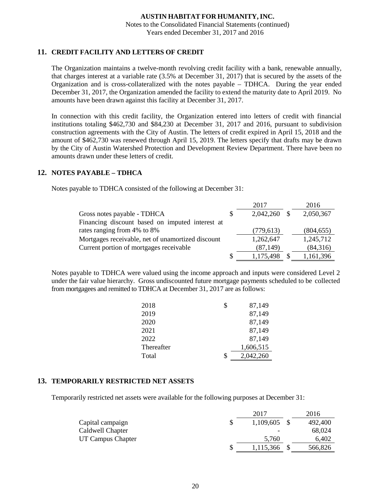Notes to the Consolidated Financial Statements (continued) Years ended December 31, 2017 and 2016

#### **11. CREDIT FACILITY AND LETTERS OF CREDIT**

The Organization maintains a twelve-month revolving credit facility with a bank, renewable annually, that charges interest at a variable rate (3.5% at December 31, 2017) that is secured by the assets of the Organization and is cross-collateralized with the notes payable – TDHCA. During the year ended December 31, 2017, the Organization amended the facility to extend the maturity date to April 2019. No amounts have been drawn against this facility at December 31, 2017.

In connection with this credit facility, the Organization entered into letters of credit with financial institutions totaling \$462,730 and \$84,230 at December 31, 2017 and 2016, pursuant to subdivision construction agreements with the City of Austin. The letters of credit expired in April 15, 2018 and the amount of \$462,730 was renewed through April 15, 2019. The letters specify that drafts may be drawn by the City of Austin Watershed Protection and Development Review Department. There have been no amounts drawn under these letters of credit.

#### **12. NOTES PAYABLE – TDHCA**

Notes payable to TDHCA consisted of the following at December 31:

|                                                   | 2017       | 2016       |
|---------------------------------------------------|------------|------------|
| Gross notes payable - TDHCA                       | 2,042,260  | 2,050,367  |
| Financing discount based on imputed interest at   |            |            |
| rates ranging from 4% to 8%                       | (779, 613) | (804, 655) |
| Mortgages receivable, net of unamortized discount | 1,262,647  | 1,245,712  |
| Current portion of mortgages receivable           | (87, 149)  | (84,316)   |
|                                                   | 1,175,498  | 1,161,396  |

Notes payable to TDHCA were valued using the income approach and inputs were considered Level 2 under the fair value hierarchy. Gross undiscounted future mortgage payments scheduled to be collected from mortgagees and remitted to TDHCA at December 31, 2017 are as follows:

| 2018       | \$<br>87,149    |
|------------|-----------------|
| 2019       | 87,149          |
| 2020       | 87,149          |
| 2021       | 87,149          |
| 2022       | 87,149          |
| Thereafter | 1,606,515       |
| Total      | \$<br>2,042,260 |

#### **13. TEMPORARILY RESTRICTED NET ASSETS**

Temporarily restricted net assets were available for the following purposes at December 31:

|                   | 2017      | 2016    |
|-------------------|-----------|---------|
| Capital campaign  | 1,109,605 | 492,400 |
| Caldwell Chapter  |           | 68,024  |
| UT Campus Chapter | 5,760     | 6,402   |
|                   | 1,115,366 | 566,826 |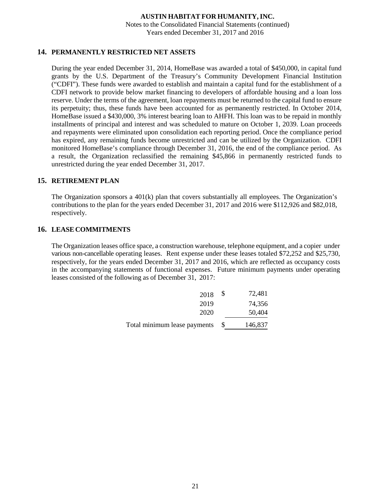Notes to the Consolidated Financial Statements (continued) Years ended December 31, 2017 and 2016

## **14. PERMANENTLY RESTRICTED NET ASSETS**

During the year ended December 31, 2014, HomeBase was awarded a total of \$450,000, in capital fund grants by the U.S. Department of the Treasury's Community Development Financial Institution ("CDFI"). These funds were awarded to establish and maintain a capital fund for the establishment of a CDFI network to provide below market financing to developers of affordable housing and a loan loss reserve. Under the terms of the agreement, loan repayments must be returned to the capital fund to ensure its perpetuity; thus, these funds have been accounted for as permanently restricted. In October 2014, HomeBase issued a \$430,000, 3% interest bearing loan to AHFH. This loan was to be repaid in monthly installments of principal and interest and was scheduled to mature on October 1, 2039. Loan proceeds and repayments were eliminated upon consolidation each reporting period. Once the compliance period has expired, any remaining funds become unrestricted and can be utilized by the Organization. CDFI monitored HomeBase's compliance through December 31, 2016, the end of the compliance period. As a result, the Organization reclassified the remaining \$45,866 in permanently restricted funds to unrestricted during the year ended December 31, 2017.

# **15. RETIREMENT PLAN**

The Organization sponsors a 401(k) plan that covers substantially all employees. The Organization's contributions to the plan for the years ended December 31, 2017 and 2016 were \$112,926 and \$82,018, respectively.

#### **16. LEASE COMMITMENTS**

The Organization leases office space, a construction warehouse, telephone equipment, and a copier under various non-cancellable operating leases. Rent expense under these leases totaled \$72,252 and \$25,730, respectively, for the years ended December 31, 2017 and 2016, which are reflected as occupancy costs in the accompanying statements of functional expenses. Future minimum payments under operating leases consisted of the following as of December 31, 2017:

| 2018                         | 72,481        |
|------------------------------|---------------|
| 2019                         | 74,356        |
| 2020                         | 50,404        |
| Total minimum lease payments | \$<br>146,837 |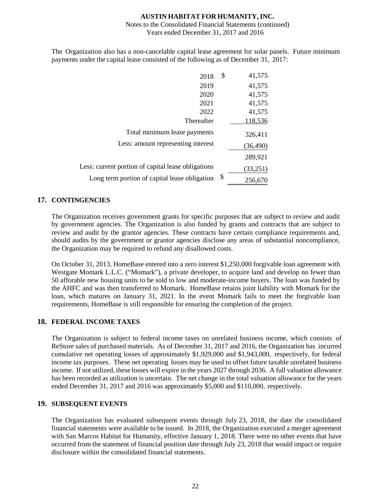#### Notes to the Consolidated Financial Statements (continued) Years ended December 31, 2017 and 2016

The Organization also has a non-cancelable capital lease agreement for solar panels. Future minimum payments under the capital lease consisted of the following as of December 31, 2017:

| 2018                                               | \$<br>41,575  |
|----------------------------------------------------|---------------|
| 2019                                               | 41,575        |
| 2020                                               | 41,575        |
| 2021                                               | 41,575        |
| 2022                                               | 41,575        |
| Thereafter                                         | 118,536       |
| Total minimum lease payments                       | 326,411       |
| Less: amount representing interest                 | (36, 490)     |
|                                                    | 289,921       |
| Less: current portion of capital lease obligations | (33,251)      |
| Long term portion of capital lease obligation      | \$<br>256,670 |

## **17. CONTINGENCIES**

The Organization receives government grants for specific purposes that are subject to review and audit by government agencies. The Organization is also funded by grants and contracts that are subject to review and audit by the grantor agencies. These contracts have certain compliance requirements and, should audits by the government or grantor agencies disclose any areas of substantial noncompliance, the Organization may be required to refund any disallowed costs.

On October 31, 2013, HomeBase entered into a zero interest \$1,250,000 forgivable loan agreement with Westgate Momark L.L.C. ("Momark"), a private developer, to acquire land and develop no fewer than 50 afforable new housing units to be sold to low and moderate-income buyers. The loan was funded by the AHFC and was then transferred to Momark. HomeBase retains joint liability with Momark for the loan, which matures on January 31, 2021. In the event Momark fails to meet the forgivable loan requirements, HomeBase is still responsible for ensuring the completion of the project.

#### **18. FEDERAL INCOME TAXES**

The Organization is subject to federal income taxes on unrelated business income, which consists of ReStore sales of purchased materials. As of December 31, 2017 and 2016, the Organization has incurred cumulative net operating losses of approximately \$1,929,000 and \$1,943,000, respectively, for federal income tax purposes. These net operating losses may be used to offset future taxable unrelated business income. If not utilized, these losses will expire in the years 2027 through 2036. A full valuation allowance has been recorded as utilization is uncertain. The net change in the total valuation allowance for the years ended December 31, 2017 and 2016 was approximately \$5,000 and \$110,000, respectively.

#### **19. SUBSEQUENT EVENTS**

The Organization has evaluated subsequent events through July 23, 2018, the date the consolidated financial statements were available to be issued. In 2018, the Organization executed a merger agreement with San Marcos Habitat for Humanity, effective January 1, 2018. There were no other events that have occurred from the statement of financial position date through July 23, 2018 that would impact or require disclosure within the consolidated financial statements.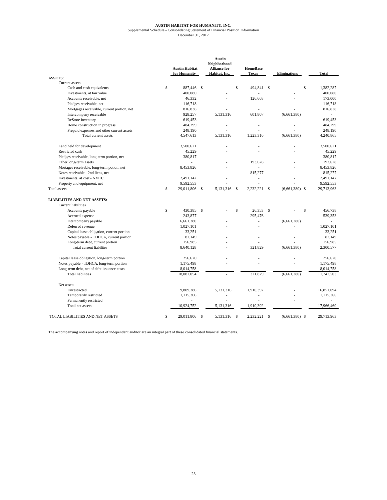AUSTIN HABITAT FOR HUMANITY, INC.<br>Supplemental Schedule - Consolidating Statement of Financial Position Information<br>December 31, 2017

|                                             | <b>Austin Habitat</b><br>for Humanity |               | Austin<br>Neighborhood<br><b>Alliance</b> for<br>Habitat, Inc. |               | <b>HomeBase</b><br><b>Texas</b> |   | <b>Eliminations</b> |    | <b>Total</b> |
|---------------------------------------------|---------------------------------------|---------------|----------------------------------------------------------------|---------------|---------------------------------|---|---------------------|----|--------------|
| <b>ASSETS:</b>                              |                                       |               |                                                                |               |                                 |   |                     |    |              |
| Current assets                              |                                       |               |                                                                |               |                                 |   |                     |    |              |
| Cash and cash equivalents                   | \$<br>887,446 \$                      |               |                                                                | \$            | 494,841 \$                      |   |                     | \$ | 1,382,287    |
| Investments, at fair value                  | 400,080                               |               |                                                                |               |                                 |   |                     |    | 400,080      |
| Accounts receivable, net                    | 46,332                                |               |                                                                |               | 126,668                         |   |                     |    | 173,000      |
| Pledges receivable, net                     | 116,718                               |               |                                                                |               | ä,                              |   |                     |    | 116,718      |
| Mortgages receivable, current portion, net  | 816,838                               |               |                                                                |               | L,                              |   |                     |    | 816,838      |
| Intercompany receivable                     | 928,257                               |               | 5,131,316                                                      |               | 601,807                         |   | (6,661,380)         |    |              |
| ReStore inventory                           | 619,453                               |               |                                                                |               |                                 |   |                     |    | 619,453      |
| Home construction in progress               | 484,299                               |               |                                                                |               |                                 |   |                     |    | 484,299      |
| Prepaid expenses and other current assets   | 248,190                               |               |                                                                |               |                                 |   |                     |    | 248,190      |
| Total current assets                        | 4,547,613                             |               | 5,131,316                                                      |               | 1,223,316                       |   | (6,661,380)         |    | 4,240,865    |
| Land held for development                   | 3,500,621                             |               |                                                                |               |                                 |   |                     |    | 3,500,621    |
| Restricted cash                             | 45.229                                |               |                                                                |               |                                 |   |                     |    | 45.229       |
| Pledges receivable, long-term portion, net  | 380,817                               |               |                                                                |               | J.                              |   |                     |    | 380,817      |
| Other long-term assets                      | ÷                                     |               |                                                                |               | 193,628                         |   |                     |    | 193,628      |
| Mortages receivable, long-term potion, net  | 8,453,826                             |               |                                                                |               |                                 |   |                     |    | 8,453,826    |
| Notes receivable - 2nd liens, net           |                                       |               |                                                                |               | 815,277                         |   |                     |    | 815,277      |
| Investments, at cost - NMTC                 | 2,491,147                             |               |                                                                |               |                                 |   |                     |    | 2,491,147    |
| Property and equipment, net                 | 9,592,553                             |               |                                                                |               |                                 |   |                     |    | 9,592,553    |
| <b>Total</b> assets                         | \$<br>29,011,806                      | $\mathbf{s}$  | 5,131,316                                                      | <sup>\$</sup> | 2,232,221                       | S | (6,661,380)         | -S | 29,713,963   |
| <b>LIABILITIES AND NET ASSETS:</b>          |                                       |               |                                                                |               |                                 |   |                     |    |              |
| <b>Current liabilities</b>                  |                                       |               |                                                                |               |                                 |   |                     |    |              |
| Accounts payable                            | \$<br>430,385<br>- \$                 |               |                                                                | \$            | $26,353$ \$                     |   |                     | \$ | 456,738      |
| Accrued expense                             | 243,877                               |               |                                                                |               | 295,476                         |   |                     |    | 539,353      |
| Intercompany payable                        | 6,661,380                             |               |                                                                |               |                                 |   | (6,661,380)         |    |              |
| Deferred revenue                            | 1,027,101                             |               |                                                                |               |                                 |   |                     |    | 1.027.101    |
| Capital lease obligation, current portion   | 33,251                                |               |                                                                |               |                                 |   |                     |    | 33,251       |
| Notes payable - TDHCA, current portion      | 87,149                                |               |                                                                |               |                                 |   |                     |    | 87,149       |
| Long-term debt, current portion             | 156,985                               |               |                                                                |               |                                 |   |                     |    | 156,985      |
| Total current liabilites                    | 8,640,128                             |               |                                                                |               | 321,829                         |   | (6,661,380)         |    | 2,300,577    |
| Capital lease obligation, long-term portion | 256,670                               |               |                                                                |               |                                 |   |                     |    | 256,670      |
| Notes payable - TDHCA, long-term portion    | 1,175,498                             |               |                                                                |               |                                 |   |                     |    | 1,175,498    |
| Long-term debt, net of debt issuance costs  | 8,014,758                             |               |                                                                |               |                                 |   |                     |    | 8,014,758    |
| <b>Total liabilities</b>                    | 18,087,054                            |               | L.                                                             |               | 321,829                         |   | (6,661,380)         |    | 11,747,503   |
| Net assets                                  |                                       |               |                                                                |               |                                 |   |                     |    |              |
| Unrestricted                                | 9,809,386                             |               | 5.131.316                                                      |               | 1.910.392                       |   |                     |    | 16,851,094   |
| Temporarily restricted                      | 1,115,366                             |               |                                                                |               |                                 |   |                     |    | 1,115,366    |
| Permanently restricted                      |                                       |               |                                                                |               |                                 |   |                     |    |              |
| Total net assets                            | 10,924,752                            |               | 5,131,316                                                      |               | 1,910,392                       |   |                     |    | 17,966,460   |
| TOTAL LIABILITIES AND NET ASSETS            | \$<br>29,011,806                      | <sup>\$</sup> | 5,131,316                                                      | <sup>\$</sup> | 2,232,221                       | S | $(6,661,380)$ \$    |    | 29,713,963   |